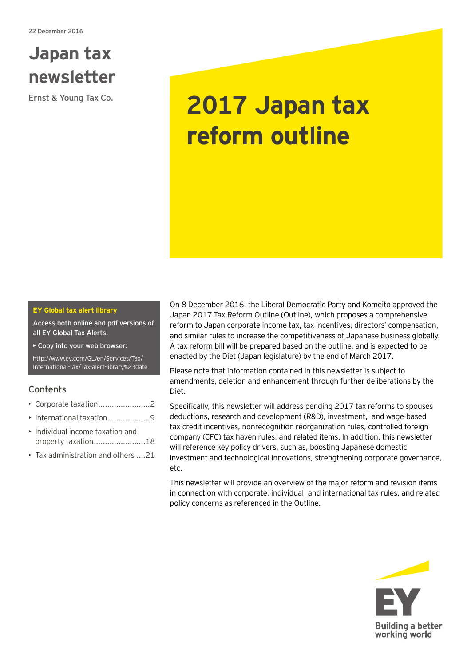## **Japan tax newsletter**

# Ernst & Young Tax Co. **2017 Japan tax reform outline**

#### **EY Global tax alert library**

Access both online and pdf versions of all EY Global Tax Alerts.

• Copy into your web browser:

[http://www.ey.com/GL/en/Services/Tax/](http://www.ey.com/GL/en/Services/Tax/International-Tax/Tax-alert-library%23date) [International-Tax/Tax-alert-library%23date](http://www.ey.com/GL/en/Services/Tax/International-Tax/Tax-alert-library%23date)

## **Contents**

- Corporate taxation .......................2
- International taxation..........................9
- Individual income taxation and property taxation.........................18
- Tax administration and others ....21

On 8 December 2016, the Liberal Democratic Party and Komeito approved the Japan 2017 Tax Reform Outline (Outline), which proposes a comprehensive reform to Japan corporate income tax, tax incentives, directors' compensation, and similar rules to increase the competitiveness of Japanese business globally. A tax reform bill will be prepared based on the outline, and is expected to be enacted by the Diet (Japan legislature) by the end of March 2017.

Please note that information contained in this newsletter is subject to amendments, deletion and enhancement through further deliberations by the Diet.

Specifically, this newsletter will address pending 2017 tax reforms to spouses deductions, research and development (R&D), investment, and wage-based tax credit incentives, nonrecognition reorganization rules, controlled foreign company (CFC) tax haven rules, and related items. In addition, this newsletter will reference key policy drivers, such as, boosting Japanese domestic investment and technological innovations, strengthening corporate governance, etc.

This newsletter will provide an overview of the major reform and revision items in connection with corporate, individual, and international tax rules, and related policy concerns as referenced in the Outline.

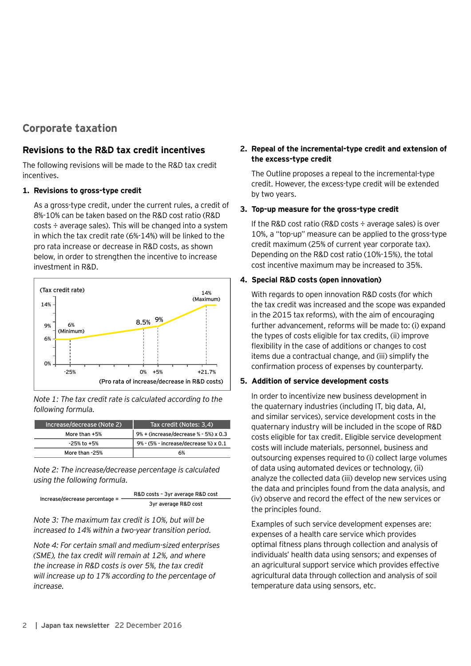## **Corporate taxation**

#### **Revisions to the R&D tax credit incentives**

The following revisions will be made to the R&D tax credit incentives.

#### **1. Revisions to gross-type credit**

As a gross-type credit, under the current rules, a credit of 8%-10% can be taken based on the R&D cost ratio (R&D costs ÷ average sales). This will be changed into a system in which the tax credit rate (6%-14%) will be linked to the pro rata increase or decrease in R&D costs, as shown below, in order to strengthen the incentive to increase investment in R&D.



*Note 1: The tax credit rate is calculated according to the following formula.*

| Increase/decrease (Note 2) | Tax credit (Notes: 3,4)               |
|----------------------------|---------------------------------------|
| More than +5%              | 9% + (increase/decrease % - 5%) x 0.3 |
| $-25%$ to $+5%$            | 9% - (5% - increase/decrease %) x 0.1 |
| More than -25%             | 6%                                    |

*Note 2: The increase/decrease percentage is calculated using the following formula.*

Increase/decrease percentage = R&D costs – 3yr average R&D cost 3yr average R&D cost

*Note 3: The maximum tax credit is 10%, but will be increased to 14% within a two-year transition period.*

*Note 4: For certain small and medium-sized enterprises (SME), the tax credit will remain at 12%, and where the increase in R&D costs is over 5%, the tax credit will increase up to 17% according to the percentage of increase.*

## **2. Repeal of the incremental-type credit and extension of the excess-type credit**

The Outline proposes a repeal to the incremental-type credit. However, the excess-type credit will be extended by two years.

#### **3. Top-up measure for the gross-type credit**

If the R&D cost ratio (R&D costs  $\div$  average sales) is over 10%, a "top-up" measure can be applied to the gross-type credit maximum (25% of current year corporate tax). Depending on the R&D cost ratio (10%-15%), the total cost incentive maximum may be increased to 35%.

#### **4. Special R&D costs (open innovation)**

With regards to open innovation R&D costs (for which the tax credit was increased and the scope was expanded in the 2015 tax reforms), with the aim of encouraging further advancement, reforms will be made to: (i) expand the types of costs eligible for tax credits, (ii) improve flexibility in the case of additions or changes to cost items due a contractual change, and (iii) simplify the confirmation process of expenses by counterparty.

#### **5. Addition of service development costs**

In order to incentivize new business development in the quaternary industries (including IT, big data, AI, and similar services), service development costs in the quaternary industry will be included in the scope of R&D costs eligible for tax credit. Eligible service development costs will include materials, personnel, business and outsourcing expenses required to (i) collect large volumes of data using automated devices or technology, (ii) analyze the collected data (iii) develop new services using the data and principles found from the data analysis, and (iv) observe and record the effect of the new services or the principles found.

Examples of such service development expenses are: expenses of a health care service which provides optimal fitness plans through collection and analysis of individuals' health data using sensors; and expenses of an agricultural support service which provides effective agricultural data through collection and analysis of soil temperature data using sensors, etc.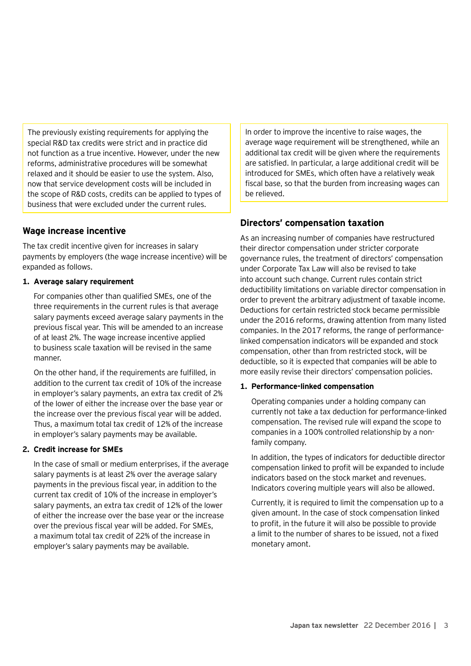The previously existing requirements for applying the special R&D tax credits were strict and in practice did not function as a true incentive. However, under the new reforms, administrative procedures will be somewhat relaxed and it should be easier to use the system. Also, now that service development costs will be included in the scope of R&D costs, credits can be applied to types of business that were excluded under the current rules.

## **Wage increase incentive**

The tax credit incentive given for increases in salary payments by employers (the wage increase incentive) will be expanded as follows.

#### **1. Average salary requirement**

For companies other than qualified SMEs, one of the three requirements in the current rules is that average salary payments exceed average salary payments in the previous fiscal year. This will be amended to an increase of at least 2%. The wage increase incentive applied to business scale taxation will be revised in the same manner.

On the other hand, if the requirements are fulfilled, in addition to the current tax credit of 10% of the increase in employer's salary payments, an extra tax credit of 2% of the lower of either the increase over the base year or the increase over the previous fiscal year will be added. Thus, a maximum total tax credit of 12% of the increase in employer's salary payments may be available.

#### **2. Credit increase for SMEs**

In the case of small or medium enterprises, if the average salary payments is at least 2% over the average salary payments in the previous fiscal year, in addition to the current tax credit of 10% of the increase in employer's salary payments, an extra tax credit of 12% of the lower of either the increase over the base year or the increase over the previous fiscal year will be added. For SMEs, a maximum total tax credit of 22% of the increase in employer's salary payments may be available.

In order to improve the incentive to raise wages, the average wage requirement will be strengthened, while an additional tax credit will be given where the requirements are satisfied. In particular, a large additional credit will be introduced for SMEs, which often have a relatively weak fiscal base, so that the burden from increasing wages can be relieved.

## **Directors' compensation taxation**

As an increasing number of companies have restructured their director compensation under stricter corporate governance rules, the treatment of directors' compensation under Corporate Tax Law will also be revised to take into account such change. Current rules contain strict deductibility limitations on variable director compensation in order to prevent the arbitrary adjustment of taxable income. Deductions for certain restricted stock became permissible under the 2016 reforms, drawing attention from many listed companies. In the 2017 reforms, the range of performancelinked compensation indicators will be expanded and stock compensation, other than from restricted stock, will be deductible, so it is expected that companies will be able to more easily revise their directors' compensation policies.

#### **1. Performance-linked compensation**

Operating companies under a holding company can currently not take a tax deduction for performance-linked compensation. The revised rule will expand the scope to companies in a 100% controlled relationship by a nonfamily company.

In addition, the types of indicators for deductible director compensation linked to profit will be expanded to include indicators based on the stock market and revenues. Indicators covering multiple years will also be allowed.

Currently, it is required to limit the compensation up to a given amount. In the case of stock compensation linked to profit, in the future it will also be possible to provide a limit to the number of shares to be issued, not a fixed monetary amont.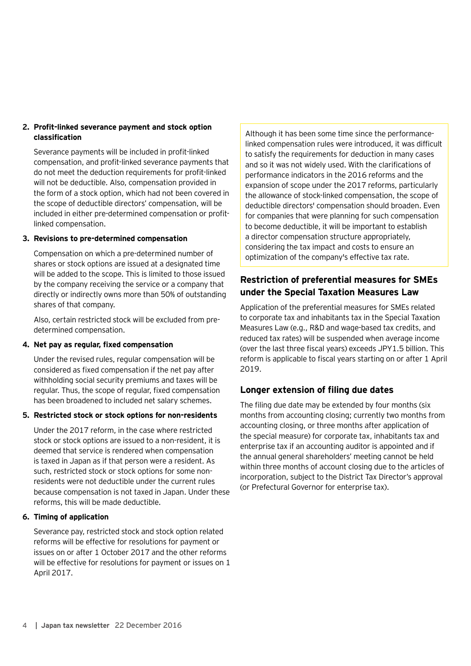#### **2. Profit-linked severance payment and stock option classification**

Severance payments will be included in profit-linked compensation, and profit-linked severance payments that do not meet the deduction requirements for profit-linked will not be deductible. Also, compensation provided in the form of a stock option, which had not been covered in the scope of deductible directors' compensation, will be included in either pre-determined compensation or profitlinked compensation.

#### **3. Revisions to pre-determined compensation**

Compensation on which a pre-determined number of shares or stock options are issued at a designated time will be added to the scope. This is limited to those issued by the company receiving the service or a company that directly or indirectly owns more than 50% of outstanding shares of that company.

Also, certain restricted stock will be excluded from predetermined compensation.

#### **4. Net pay as regular, fixed compensation**

Under the revised rules, regular compensation will be considered as fixed compensation if the net pay after withholding social security premiums and taxes will be regular. Thus, the scope of regular, fixed compensation has been broadened to included net salary schemes.

#### **5. Restricted stock or stock options for non-residents**

Under the 2017 reform, in the case where restricted stock or stock options are issued to a non-resident, it is deemed that service is rendered when compensation is taxed in Japan as if that person were a resident. As such, restricted stock or stock options for some nonresidents were not deductible under the current rules because compensation is not taxed in Japan. Under these reforms, this will be made deductible.

#### **6. Timing of application**

Severance pay, restricted stock and stock option related reforms will be effective for resolutions for payment or issues on or after 1 October 2017 and the other reforms will be effective for resolutions for payment or issues on 1 April 2017.

Although it has been some time since the performancelinked compensation rules were introduced, it was difficult to satisfy the requirements for deduction in many cases and so it was not widely used. With the clarifications of performance indicators in the 2016 reforms and the expansion of scope under the 2017 reforms, particularly the allowance of stock-linked compensation, the scope of deductible directors' compensation should broaden. Even for companies that were planning for such compensation to become deductible, it will be important to establish a director compensation structure appropriately, considering the tax impact and costs to ensure an optimization of the company's effective tax rate.

## **Restriction of preferential measures for SMEs under the Special Taxation Measures Law**

Application of the preferential measures for SMEs related to corporate tax and inhabitants tax in the Special Taxation Measures Law (e.g., R&D and wage-based tax credits, and reduced tax rates) will be suspended when average income (over the last three fiscal years) exceeds JPY1.5 billion. This reform is applicable to fiscal years starting on or after 1 April 2019.

## **Longer extension of filing due dates**

The filing due date may be extended by four months (six months from accounting closing; currently two months from accounting closing, or three months after application of the special measure) for corporate tax, inhabitants tax and enterprise tax if an accounting auditor is appointed and if the annual general shareholders' meeting cannot be held within three months of account closing due to the articles of incorporation, subject to the District Tax Director's approval (or Prefectural Governor for enterprise tax).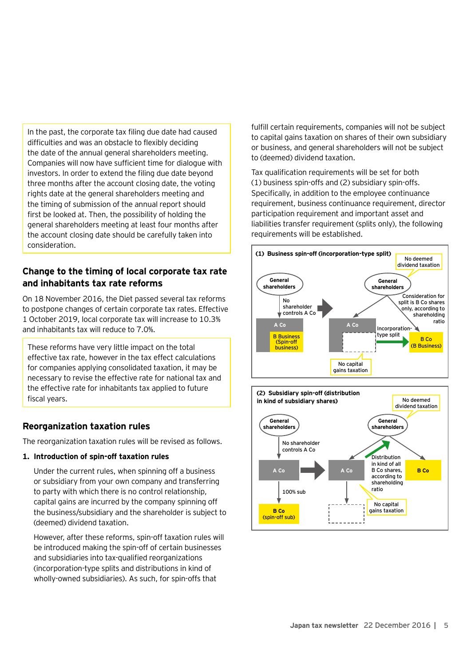In the past, the corporate tax filing due date had caused difficulties and was an obstacle to flexibly deciding the date of the annual general shareholders meeting. Companies will now have sufficient time for dialogue with investors. In order to extend the filing due date beyond three months after the account closing date, the voting rights date at the general shareholders meeting and the timing of submission of the annual report should first be looked at. Then, the possibility of holding the general shareholders meeting at least four months after the account closing date should be carefully taken into consideration.

## **Change to the timing of local corporate tax rate and inhabitants tax rate reforms**

On 18 November 2016, the Diet passed several tax reforms to postpone changes of certain corporate tax rates. Effective 1 October 2019, local corporate tax will increase to 10.3% and inhabitants tax will reduce to 7.0%.

These reforms have very little impact on the total effective tax rate, however in the tax effect calculations for companies applying consolidated taxation, it may be necessary to revise the effective rate for national tax and the effective rate for inhabitants tax applied to future fiscal years.

## **Reorganization taxation rules**

The reorganization taxation rules will be revised as follows.

#### **1. Introduction of spin-off taxation rules**

Under the current rules, when spinning off a business or subsidiary from your own company and transferring to party with which there is no control relationship, capital gains are incurred by the company spinning off the business/subsidiary and the shareholder is subject to (deemed) dividend taxation.

However, after these reforms, spin-off taxation rules will be introduced making the spin-off of certain businesses and subsidiaries into tax-qualified reorganizations (incorporation-type splits and distributions in kind of wholly-owned subsidiaries). As such, for spin-offs that

fulfill certain requirements, companies will not be subject to capital gains taxation on shares of their own subsidiary or business, and general shareholders will not be subject to (deemed) dividend taxation.

Tax qualification requirements will be set for both (1) business spin-offs and (2) subsidiary spin-offs. Specifically, in addition to the employee continuance requirement, business continuance requirement, director participation requirement and important asset and liabilities transfer requirement (splits only), the following requirements will be established.



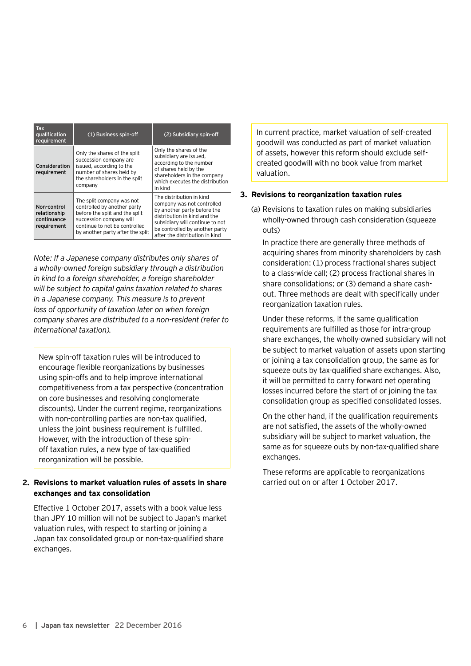| <b>Tax</b><br>qualification<br>requirement                | (1) Business spin-off                                                                                                                                                                      | (2) Subsidiary spin-off                                                                                                                                                                                                      |  |
|-----------------------------------------------------------|--------------------------------------------------------------------------------------------------------------------------------------------------------------------------------------------|------------------------------------------------------------------------------------------------------------------------------------------------------------------------------------------------------------------------------|--|
| Consideration<br>requirement                              | Only the shares of the split<br>succession company are<br>issued, according to the<br>number of shares held by<br>the shareholders in the split<br>company                                 | Only the shares of the<br>subsidiary are issued,<br>according to the number<br>of shares held by the<br>shareholders in the company<br>which executes the distribution<br>in kind                                            |  |
| Non-control<br>relationship<br>continuance<br>requirement | The split company was not<br>controlled by another party<br>before the split and the split<br>succession company will<br>continue to not be controlled<br>by another party after the split | The distribution in kind<br>company was not controlled<br>by another party before the<br>distribution in kind and the<br>subsidiary will continue to not<br>be controlled by another party<br>after the distribution in kind |  |

*Note: If a Japanese company distributes only shares of a wholly-owned foreign subsidiary through a distribution in kind to a foreign shareholder, a foreign shareholder will be subject to capital gains taxation related to shares in a Japanese company. This measure is to prevent loss of opportunity of taxation later on when foreign company shares are distributed to a non-resident (refer to International taxation).*

New spin-off taxation rules will be introduced to encourage flexible reorganizations by businesses using spin-offs and to help improve international competitiveness from a tax perspective (concentration on core businesses and resolving conglomerate discounts). Under the current regime, reorganizations with non-controlling parties are non-tax qualified, unless the joint business requirement is fulfilled. However, with the introduction of these spinoff taxation rules, a new type of tax-qualified reorganization will be possible.

#### **2. Revisions to market valuation rules of assets in share exchanges and tax consolidation**

Effective 1 October 2017, assets with a book value less than JPY 10 million will not be subject to Japan's market valuation rules, with respect to starting or joining a Japan tax consolidated group or non-tax-qualified share exchanges.

In current practice, market valuation of self-created goodwill was conducted as part of market valuation of assets, however this reform should exclude selfcreated goodwill with no book value from market valuation.

#### **3. Revisions to reorganization taxation rules**

(a) Revisions to taxation rules on making subsidiaries wholly-owned through cash consideration (squeeze outs)

In practice there are generally three methods of acquiring shares from minority shareholders by cash consideration: (1) process fractional shares subject to a class-wide call; (2) process fractional shares in share consolidations; or (3) demand a share cashout. Three methods are dealt with specifically under reorganization taxation rules.

Under these reforms, if the same qualification requirements are fulfilled as those for intra-group share exchanges, the wholly-owned subsidiary will not be subject to market valuation of assets upon starting or joining a tax consolidation group, the same as for squeeze outs by tax-qualified share exchanges. Also, it will be permitted to carry forward net operating losses incurred before the start of or joining the tax consolidation group as specified consolidated losses.

On the other hand, if the qualification requirements are not satisfied, the assets of the wholly-owned subsidiary will be subject to market valuation, the same as for squeeze outs by non-tax-qualified share exchanges.

These reforms are applicable to reorganizations carried out on or after 1 October 2017.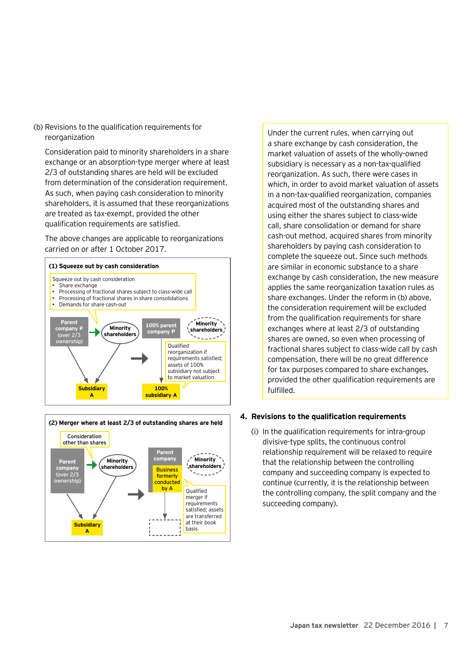(b) Revisions to the qualification requirements for reorganization

Consideration paid to minority shareholders in a share exchange or an absorption-type merger where at least 2/3 of outstanding shares are held will be excluded from determination of the consideration requirement. As such, when paying cash consideration to minority shareholders, it is assumed that these reorganizations are treated as tax-exempt, provided the other qualification requirements are satisfied.

The above changes are applicable to reorganizations carried on or after 1 October 2017.





Under the current rules, when carrying out a share exchange by cash consideration, the market valuation of assets of the wholly-owned subsidiary is necessary as a non-tax-qualified reorganization. As such, there were cases in which, in order to avoid market valuation of assets in a non-tax-qualified reorganization, companies acquired most of the outstanding shares and using either the shares subject to class-wide call, share consolidation or demand for share cash-out method, acquired shares from minority shareholders by paying cash consideration to complete the squeeze out. Since such methods are similar in economic substance to a share exchange by cash consideration, the new measure applies the same reorganization taxation rules as share exchanges. Under the reform in (b) above, the consideration requirement will be excluded from the qualification requirements for share exchanges where at least 2/3 of outstanding shares are owned, so even when processing of fractional shares subject to class-wide call by cash compensation, there will be no great difference for tax purposes compared to share exchanges, provided the other qualification requirements are fulfilled.

#### **4. Revisions to the qualification requirements**

(i) In the qualification requirements for intra-group divisive-type splits, the continuous control relationship requirement will be relaxed to require that the relationship between the controlling company and succeeding company is expected to continue (currently, it is the relationship between the controlling company, the split company and the succeeding company).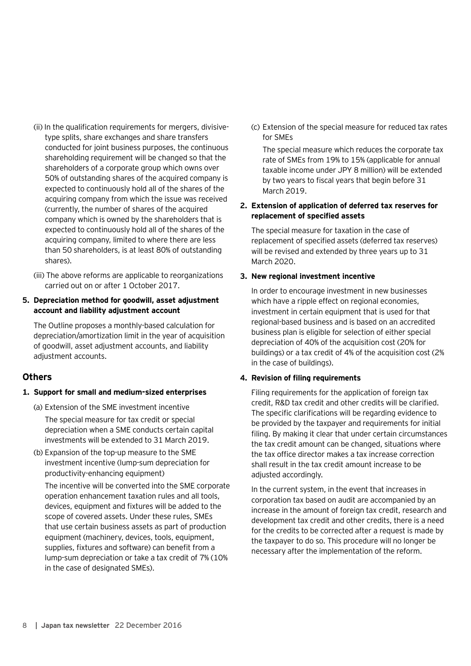- (ii) In the qualification requirements for mergers, divisivetype splits, share exchanges and share transfers conducted for joint business purposes, the continuous shareholding requirement will be changed so that the shareholders of a corporate group which owns over 50% of outstanding shares of the acquired company is expected to continuously hold all of the shares of the acquiring company from which the issue was received (currently, the number of shares of the acquired company which is owned by the shareholders that is expected to continuously hold all of the shares of the acquiring company, limited to where there are less than 50 shareholders, is at least 80% of outstanding shares).
- (iii) The above reforms are applicable to reorganizations carried out on or after 1 October 2017.

#### **5. Depreciation method for goodwill, asset adjustment account and liability adjustment account**

The Outline proposes a monthly-based calculation for depreciation/amortization limit in the year of acquisition of goodwill, asset adjustment accounts, and liability adjustment accounts.

## **Others**

#### **1. Support for small and medium-sized enterprises**

- (a) Extension of the SME investment incentive The special measure for tax credit or special depreciation when a SME conducts certain capital investments will be extended to 31 March 2019.
- (b) Expansion of the top-up measure to the SME investment incentive (lump-sum depreciation for productivity-enhancing equipment)

The incentive will be converted into the SME corporate operation enhancement taxation rules and all tools, devices, equipment and fixtures will be added to the scope of covered assets. Under these rules, SMEs that use certain business assets as part of production equipment (machinery, devices, tools, equipment, supplies, fixtures and software) can benefit from a lump-sum depreciation or take a tax credit of 7% (10% in the case of designated SMEs).

(c) Extension of the special measure for reduced tax rates for SMEs

The special measure which reduces the corporate tax rate of SMEs from 19% to 15% (applicable for annual taxable income under JPY 8 million) will be extended by two years to fiscal years that begin before 31 March 2019.

#### **2. Extension of application of deferred tax reserves for replacement of specified assets**

The special measure for taxation in the case of replacement of specified assets (deferred tax reserves) will be revised and extended by three years up to 31 March 2020.

#### **3. New regional investment incentive**

In order to encourage investment in new businesses which have a ripple effect on regional economies, investment in certain equipment that is used for that regional-based business and is based on an accredited business plan is eligible for selection of either special depreciation of 40% of the acquisition cost (20% for buildings) or a tax credit of 4% of the acquisition cost (2% in the case of buildings).

#### **4. Revision of filing requirements**

Filing requirements for the application of foreign tax credit, R&D tax credit and other credits will be clarified. The specific clarifications will be regarding evidence to be provided by the taxpayer and requirements for initial filing. By making it clear that under certain circumstances the tax credit amount can be changed, situations where the tax office director makes a tax increase correction shall result in the tax credit amount increase to be adjusted accordingly.

In the current system, in the event that increases in corporation tax based on audit are accompanied by an increase in the amount of foreign tax credit, research and development tax credit and other credits, there is a need for the credits to be corrected after a request is made by the taxpayer to do so. This procedure will no longer be necessary after the implementation of the reform.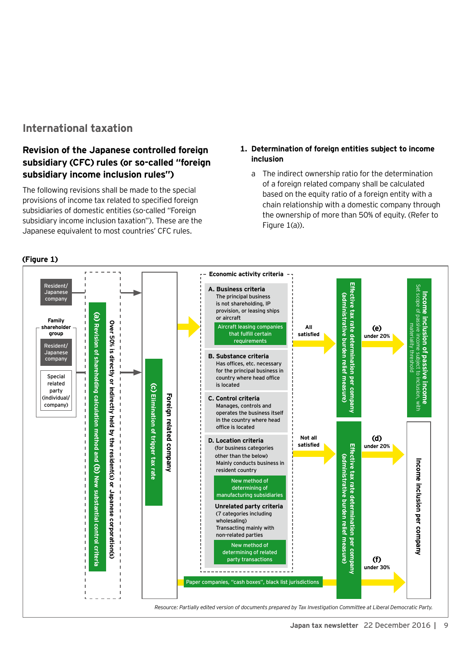## **International taxation**

## **Revision of the Japanese controlled foreign subsidiary (CFC) rules (or so-called "foreign subsidiary income inclusion rules")**

The following revisions shall be made to the special provisions of income tax related to specified foreign subsidiaries of domestic entities (so-called "Foreign subsidiary income inclusion taxation"). These are the Japanese equivalent to most countries' CFC rules.

#### **1. Determination of foreign entities subject to income inclusion**

a The indirect ownership ratio for the determination of a foreign related company shall be calculated based on the equity ratio of a foreign entity with a chain relationship with a domestic company through the ownership of more than 50% of equity. (Refer to Figure 1(a)).



#### **(Figure 1)**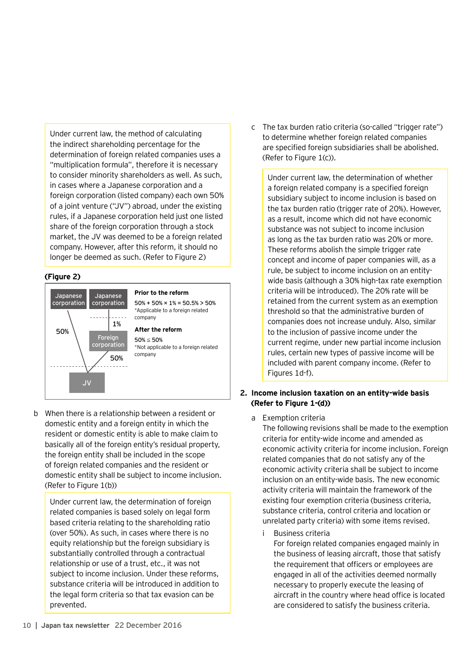Under current law, the method of calculating the indirect shareholding percentage for the determination of foreign related companies uses a "multiplication formula", therefore it is necessary to consider minority shareholders as well. As such, in cases where a Japanese corporation and a foreign corporation (listed company) each own 50% of a joint venture ("JV") abroad, under the existing rules, if a Japanese corporation held just one listed share of the foreign corporation through a stock market, the JV was deemed to be a foreign related company. However, after this reform, it should no longer be deemed as such. (Refer to Figure 2)

#### **(Figure 2)**



b When there is a relationship between a resident or domestic entity and a foreign entity in which the resident or domestic entity is able to make claim to basically all of the foreign entity's residual property, the foreign entity shall be included in the scope of foreign related companies and the resident or domestic entity shall be subject to income inclusion. (Refer to Figure 1(b))

Under current law, the determination of foreign related companies is based solely on legal form based criteria relating to the shareholding ratio (over 50%). As such, in cases where there is no equity relationship but the foreign subsidiary is substantially controlled through a contractual relationship or use of a trust, etc., it was not subject to income inclusion. Under these reforms, substance criteria will be introduced in addition to the legal form criteria so that tax evasion can be prevented.

c The tax burden ratio criteria (so-called "trigger rate") to determine whether foreign related companies are specified foreign subsidiaries shall be abolished. (Refer to Figure 1(c)).

Under current law, the determination of whether a foreign related company is a specified foreign subsidiary subject to income inclusion is based on the tax burden ratio (trigger rate of 20%). However, as a result, income which did not have economic substance was not subject to income inclusion as long as the tax burden ratio was 20% or more. These reforms abolish the simple trigger rate concept and income of paper companies will, as a rule, be subject to income inclusion on an entitywide basis (although a 30% high-tax rate exemption criteria will be introduced). The 20% rate will be retained from the current system as an exemption threshold so that the administrative burden of companies does not increase unduly. Also, similar to the inclusion of passive income under the current regime, under new partial income inclusion rules, certain new types of passive income will be included with parent company income. (Refer to Figures 1d-f).

#### **2. Income inclusion taxation on an entity-wide basis (Refer to Figure 1-(d))**

a Exemption criteria

The following revisions shall be made to the exemption criteria for entity-wide income and amended as economic activity criteria for income inclusion. Foreign related companies that do not satisfy any of the economic activity criteria shall be subject to income inclusion on an entity-wide basis. The new economic activity criteria will maintain the framework of the existing four exemption criteria (business criteria, substance criteria, control criteria and location or unrelated party criteria) with some items revised.

i Business criteria

For foreign related companies engaged mainly in the business of leasing aircraft, those that satisfy the requirement that officers or employees are engaged in all of the activities deemed normally necessary to properly execute the leasing of aircraft in the country where head office is located are considered to satisfy the business criteria.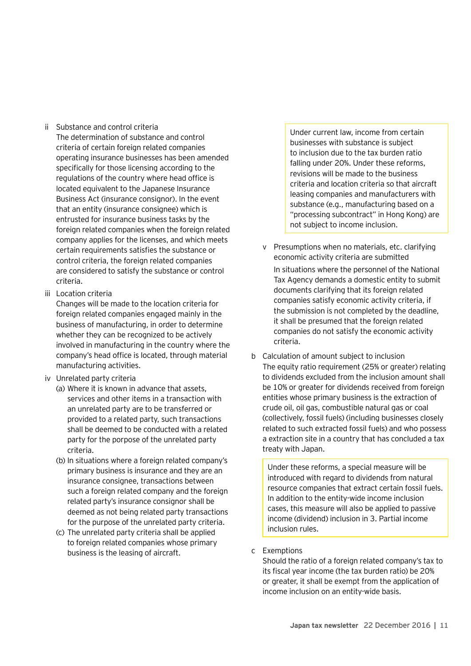- ii Substance and control criteria The determination of substance and control criteria of certain foreign related companies operating insurance businesses has been amended specifically for those licensing according to the regulations of the country where head office is located equivalent to the Japanese Insurance Business Act (insurance consignor). In the event that an entity (insurance consignee) which is entrusted for insurance business tasks by the foreign related companies when the foreign related company applies for the licenses, and which meets certain requirements satisfies the substance or control criteria, the foreign related companies are considered to satisfy the substance or control criteria.
- iii Location criteria

Changes will be made to the location criteria for foreign related companies engaged mainly in the business of manufacturing, in order to determine whether they can be recognized to be actively involved in manufacturing in the country where the company's head office is located, through material manufacturing activities.

- iv Unrelated party criteria
	- (a) Where it is known in advance that assets, services and other items in a transaction with an unrelated party are to be transferred or provided to a related party, such transactions shall be deemed to be conducted with a related party for the porpose of the unrelated party criteria.
	- (b) In situations where a foreign related company's primary business is insurance and they are an insurance consignee, transactions between such a foreign related company and the foreign related party's insurance consignor shall be deemed as not being related party transactions for the purpose of the unrelated party criteria.
	- (c) The unrelated party criteria shall be applied to foreign related companies whose primary business is the leasing of aircraft.

Under current law, income from certain businesses with substance is subject to inclusion due to the tax burden ratio falling under 20%. Under these reforms, revisions will be made to the business criteria and location criteria so that aircraft leasing companies and manufacturers with substance (e.g., manufacturing based on a "processing subcontract" in Hong Kong) are not subject to income inclusion.

- v Presumptions when no materials, etc. clarifying economic activity criteria are submitted In situations where the personnel of the National Tax Agency demands a domestic entity to submit documents clarifying that its foreign related companies satisfy economic activity criteria, if the submission is not completed by the deadline, it shall be presumed that the foreign related companies do not satisfy the economic activity criteria.
- b Calculation of amount subject to inclusion The equity ratio requirement (25% or greater) relating to dividends excluded from the inclusion amount shall be 10% or greater for dividends received from foreign entities whose primary business is the extraction of crude oil, oil gas, combustible natural gas or coal (collectively, fossil fuels) (including businesses closely related to such extracted fossil fuels) and who possess a extraction site in a country that has concluded a tax treaty with Japan.

Under these reforms, a special measure will be introduced with regard to dividends from natural resource companies that extract certain fossil fuels. In addition to the entity-wide income inclusion cases, this measure will also be applied to passive income (dividend) inclusion in 3. Partial income inclusion rules.

#### c Exemptions

Should the ratio of a foreign related company's tax to its fiscal year income (the tax burden ratio) be 20% or greater, it shall be exempt from the application of income inclusion on an entity-wide basis.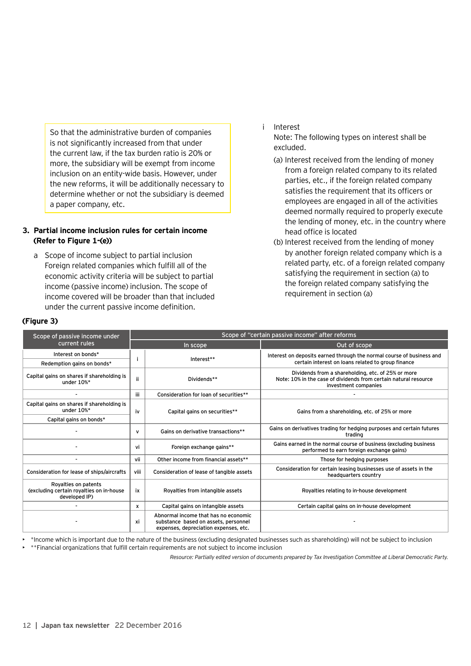So that the administrative burden of companies is not significantly increased from that under the current law, if the tax burden ratio is 20% or more, the subsidiary will be exempt from income inclusion on an entity-wide basis. However, under the new reforms, it will be additionally necessary to determine whether or not the subsidiary is deemed a paper company, etc.

#### **3. Partial income inclusion rules for certain income (Refer to Figure 1-(e))**

a Scope of income subject to partial inclusion Foreign related companies which fulfill all of the economic activity criteria will be subject to partial income (passive income) inclusion. The scope of income covered will be broader than that included under the current passive income definition.

i Interest

Note: The following types on interest shall be excluded.

- (a) Interest received from the lending of money from a foreign related company to its related parties, etc., if the foreign related company satisfies the requirement that its officers or employees are engaged in all of the activities deemed normally required to properly execute the lending of money, etc. in the country where head office is located
- (b) Interest received from the lending of money by another foreign related company which is a related party, etc. of a foreign related company satisfying the requirement in section (a) to the foreign related company satisfying the requirement in section (a)

| Scope of passive income under                                                     | Scope of "certain passive income" after reforms |                                                                                                                       |                                                                                                                                                |  |  |
|-----------------------------------------------------------------------------------|-------------------------------------------------|-----------------------------------------------------------------------------------------------------------------------|------------------------------------------------------------------------------------------------------------------------------------------------|--|--|
| current rules                                                                     |                                                 | In scope                                                                                                              | Out of scope                                                                                                                                   |  |  |
| Interest on bonds*                                                                |                                                 | Interest**                                                                                                            | Interest on deposits earned through the normal course of business and                                                                          |  |  |
| Redemption gains on bonds*                                                        |                                                 |                                                                                                                       | certain interest on loans related to group finance                                                                                             |  |  |
| Capital gains on shares if shareholding is<br>under 10%*                          | ii.                                             | Dividends**                                                                                                           | Dividends from a shareholding, etc. of 25% or more<br>Note: 10% in the case of dividends from certain natural resource<br>investment companies |  |  |
|                                                                                   | iii                                             | Consideration for loan of securities**                                                                                |                                                                                                                                                |  |  |
| Capital gains on shares if shareholding is<br>under $10\%*$                       | iv                                              | Capital gains on securities**                                                                                         | Gains from a shareholding, etc. of 25% or more                                                                                                 |  |  |
| Capital gains on bonds*                                                           |                                                 |                                                                                                                       |                                                                                                                                                |  |  |
|                                                                                   | v                                               | Gains on derivative transactions**                                                                                    | Gains on derivatives trading for hedging purposes and certain futures<br>trading                                                               |  |  |
|                                                                                   | ٧i                                              | Foreign exchange gains**                                                                                              | Gains earned in the normal course of business (excluding business<br>performed to earn foreign exchange gains)                                 |  |  |
|                                                                                   | vii                                             | Other income from financial assets**                                                                                  | Those for hedging purposes                                                                                                                     |  |  |
| Consideration for lease of ships/aircrafts                                        | viii                                            | Consideration of lease of tangible assets                                                                             | Consideration for certain leasing businesses use of assets in the<br>headquarters country                                                      |  |  |
| Royalties on patents<br>(excluding certain royalties on in-house<br>developed IP) | ix                                              | Royalties from intangible assets                                                                                      | Royalties relating to in-house development                                                                                                     |  |  |
|                                                                                   | x                                               | Capital gains on intangible assets                                                                                    | Certain capital gains on in-house development                                                                                                  |  |  |
|                                                                                   | xi                                              | Abnormal income that has no economic<br>substance based on assets, personnel<br>expenses, depreciation expenses, etc. |                                                                                                                                                |  |  |

**(Figure 3)**

• \*Income which is important due to the nature of the business (excluding designated businesses such as shareholding) will not be subject to inclusion • \*\*Financial organizations that fulfill certain requirements are not subject to income inclusion

*Resource: Partially edited version of documents prepared by Tax Investigation Committee at Liberal Democratic Party.*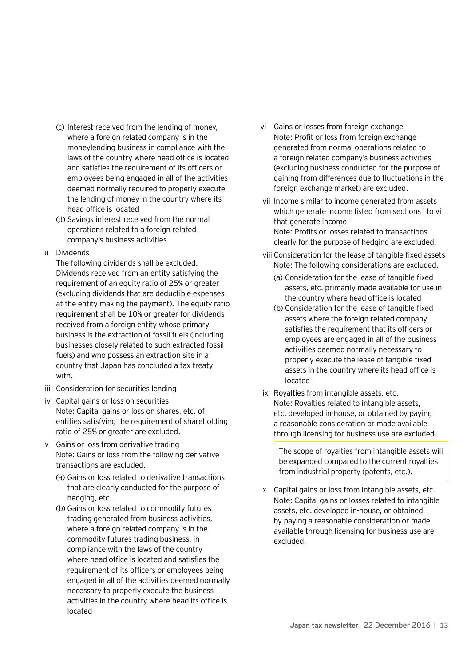- (c) Interest received from the lending of money, where a foreign related company is in the moneylending business in compliance with the laws of the country where head office is located and satisfies the requirement of its officers or employees being engaged in all of the activities deemed normally required to properly execute the lending of money in the country where its head office is located
- (d) Savings interest received from the normal operations related to a foreign related company's business activities

#### ii Dividends

The following dividends shall be excluded. Dividends received from an entity satisfying the requirement of an equity ratio of 25% or greater (excluding dividends that are deductible expenses at the entity making the payment). The equity ratio requirement shall be 10% or greater for dividends received from a foreign entity whose primary business is the extraction of fossil fuels (including businesses closely related to such extracted fossil fuels) and who possess an extraction site in a country that Japan has concluded a tax treaty with.

- iii Consideration for securities lending
- iv Capital gains or loss on securities Note: Capital gains or loss on shares, etc. of entities satisfying the requirement of shareholding ratio of 25% or greater are excluded.
- v Gains or loss from derivative trading Note: Gains or loss from the following derivative transactions are excluded.
	- (a) Gains or loss related to derivative transactions that are clearly conducted for the purpose of hedging, etc.
	- (b) Gains or loss related to commodity futures trading generated from business activities, where a foreign related company is in the commodity futures trading business, in compliance with the laws of the country where head office is located and satisfies the requirement of its officers or employees being engaged in all of the activities deemed normally necessary to properly execute the business activities in the country where head its office is located
- vi Gains or losses from foreign exchange Note: Profit or loss from foreign exchange generated from normal operations related to a foreign related company's business activities (excluding business conducted for the purpose of gaining from differences due to fluctuations in the foreign exchange market) are excluded.
- vii Income similar to income generated from assets which generate income listed from sections i to vi that generate income Note: Profits or losses related to transactions clearly for the purpose of hedging are excluded.
- viii Consideration for the lease of tangible fixed assets Note: The following considerations are excluded.
	- (a) Consideration for the lease of tangible fixed assets, etc. primarily made available for use in the country where head office is located
	- (b) Consideration for the lease of tangible fixed assets where the foreign related company satisfies the requirement that its officers or employees are engaged in all of the business activities deemed normally necessary to properly execute the lease of tangible fixed assets in the country where its head office is located
- ix Royalties from intangible assets, etc. Note: Royalties related to intangible assets, etc. developed in-house, or obtained by paying a reasonable consideration or made available through licensing for business use are excluded.

The scope of royalties from intangible assets will be expanded compared to the current royalties from industrial property (patents, etc.).

x Capital gains or loss from intangible assets, etc. Note: Capital gains or losses related to intangible assets, etc. developed in-house, or obtained by paying a reasonable consideration or made available through licensing for business use are excluded.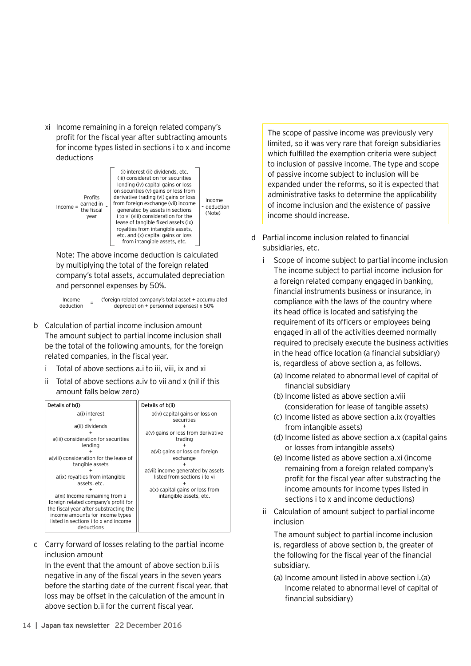xi Income remaining in a foreign related company's profit for the fiscal year after subtracting amounts for income types listed in sections i to x and income deductions



Note: The above income deduction is calculated by multiplying the total of the foreign related company's total assets, accumulated depreciation and personnel expenses by 50%.

Income<br>deduction deduction <sup>=</sup> (foreign related company's total asset + accumulated depreciation + personnel expenses) x 50%

- b Calculation of partial income inclusion amount The amount subject to partial income inclusion shall be the total of the following amounts, for the foreign related companies, in the fiscal year.
	- i Total of above sections a.i to iii, viii, ix and xi
	- ii Total of above sections a.iv to vii and x (nil if this amount falls below zero)



c Carry forward of losses relating to the partial income inclusion amount

In the event that the amount of above section b.ii is negative in any of the fiscal years in the seven years before the starting date of the current fiscal year, that loss may be offset in the calculation of the amount in above section b.ii for the current fiscal year.

The scope of passive income was previously very limited, so it was very rare that foreign subsidiaries which fulfilled the exemption criteria were subject to inclusion of passive income. The type and scope of passive income subject to inclusion will be expanded under the reforms, so it is expected that administrative tasks to determine the applicability of income inclusion and the existence of passive income should increase.

- d Partial income inclusion related to financial subsidiaries, etc.
	- i Scope of income subject to partial income inclusion The income subject to partial income inclusion for a foreign related company engaged in banking, financial instruments business or insurance, in compliance with the laws of the country where its head office is located and satisfying the requirement of its officers or employees being engaged in all of the activities deemed normally required to precisely execute the business activities in the head office location (a financial subsidiary) is, regardless of above section a, as follows.
		- (a) Income related to abnormal level of capital of financial subsidiary
		- (b) Income listed as above section a.viii (consideration for lease of tangible assets)
		- (c) Income listed as above section a.ix (royalties from intangible assets)
		- (d) Income listed as above section a.x (capital gains or losses from intangible assets)
		- (e) Income listed as above section a.xi (income remaining from a foreign related company's profit for the fiscal year after substracting the income amounts for income types listed in sections i to x and income deductions)
	- ii Calculation of amount subject to partial income inclusion

The amount subject to partial income inclusion is, regardless of above section b, the greater of the following for the fiscal year of the financial subsidiary.

(a) Income amount listed in above section i.(a) Income related to abnormal level of capital of financial subsidiary)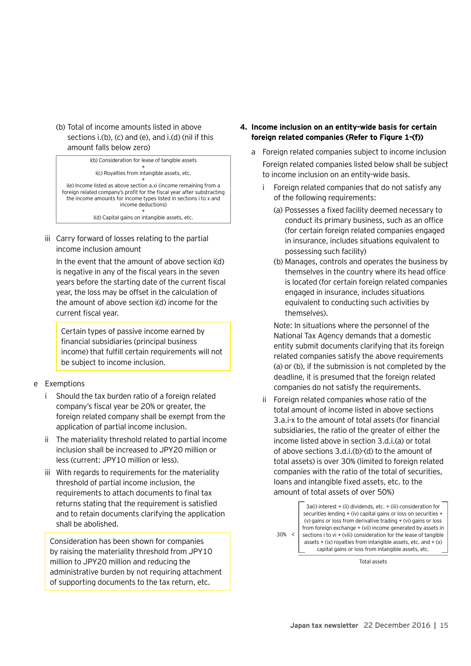(b) Total of income amounts listed in above sections i.(b), (c) and (e), and i.(d) (nil if this amount falls below zero)

i(b) Consideration for lease of tangible assets + i(c) Royalties from intangible assets, etc. + i(e) Income listed as above section a.xi (income remaining from a foreign related company's profit for the fiscal year after substracting the income amounts for income types listed in sections i to x and income deductions) + i(d) Capital gains on intangible assets, etc.

iii Carry forward of losses relating to the partial income inclusion amount

In the event that the amount of above section i(d) is negative in any of the fiscal years in the seven years before the starting date of the current fiscal year, the loss may be offset in the calculation of the amount of above section i(d) income for the current fiscal year.

Certain types of passive income earned by financial subsidiaries (principal business income) that fulfill certain requirements will not be subject to income inclusion.

#### e Exemptions

- i Should the tax burden ratio of a foreign related company's fiscal year be 20% or greater, the foreign related company shall be exempt from the application of partial income inclusion.
- ii The materiality threshold related to partial income inclusion shall be increased to JPY20 million or less (current: JPY10 million or less).
- iii With regards to requirements for the materiality threshold of partial income inclusion, the requirements to attach documents to final tax returns stating that the requirement is satisfied and to retain documents clarifying the application shall be abolished.

Consideration has been shown for companies by raising the materiality threshold from JPY10 million to JPY20 million and reducing the administrative burden by not requiring attachment of supporting documents to the tax return, etc.

- **4. Income inclusion on an entity-wide basis for certain foreign related companies (Refer to Figure 1-(f))**
	- a Foreign related companies subject to income inclusion Foreign related companies listed below shall be subject to income inclusion on an entity-wide basis.
		- Foreign related companies that do not satisfy any of the following requirements:
			- (a) Possesses a fixed facility deemed necessary to conduct its primary business, such as an office (for certain foreign related companies engaged in insurance, includes situations equivalent to possessing such facility)
			- (b) Manages, controls and operates the business by themselves in the country where its head office is located (for certain foreign related companies engaged in insurance, includes situations equivalent to conducting such activities by themselves).

Note: In situations where the personnel of the National Tax Agency demands that a domestic entity submit documents clarifying that its foreign related companies satisfy the above requirements (a) or (b), if the submission is not completed by the deadline, it is presumed that the foreign related companies do not satisfy the requirements.

ii Foreign related companies whose ratio of the total amount of income listed in above sections 3.a.i-x to the amount of total assets (for financial subsidiaries, the ratio of the greater of either the income listed above in section 3.d.i.(a) or total of above sections 3.d.i.(b)-(d) to the amount of total assets) is over 30% (limited to foreign related companies with the ratio of the total of securities, loans and intangible fixed assets, etc. to the amount of total assets of over 50%)

30% < 3a(i) interest + (ii) dividends, etc. + (iii) consideration for securities lending + (iv) capital gains or loss on securities + (v) gains or loss from derivative trading + (vi) gains or loss from foreign exchange + (vii) income generated by assets in sections  $\mathbf i$  to  $\mathbf v$ i + (viii) consideration for the lease of tangible assets + (ix) royalties from intangible assets, etc. and  $+(x)$ capital gains or loss from intangible assets, etc.

Total assets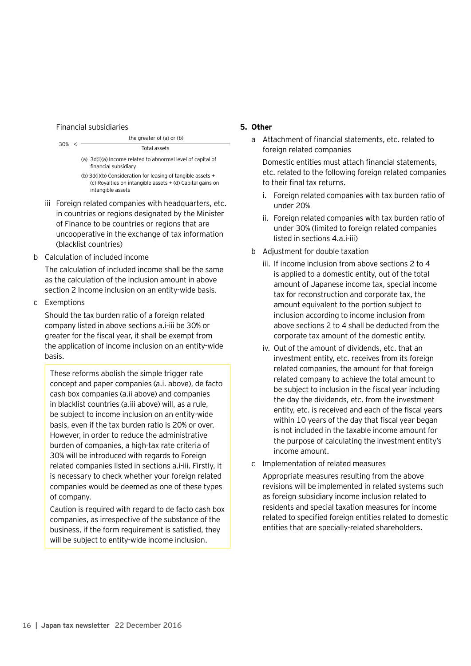#### Financial subsidiaries



- (b) 3d(i)(b) Consideration for leasing of tangible assets + (c) Royalties on intangible assets + (d) Capital gains on intangible assets
- iii Foreign related companies with headquarters, etc. in countries or regions designated by the Minister of Finance to be countries or regions that are uncooperative in the exchange of tax information (blacklist countries)
- b Calculation of included income

The calculation of included income shall be the same as the calculation of the inclusion amount in above section 2 Income inclusion on an entity-wide basis.

c Exemptions

Should the tax burden ratio of a foreign related company listed in above sections a.i-iii be 30% or greater for the fiscal year, it shall be exempt from the application of income inclusion on an entity-wide basis.

These reforms abolish the simple trigger rate concept and paper companies (a.i. above), de facto cash box companies (a.ii above) and companies in blacklist countries (a.iii above) will, as a rule, be subject to income inclusion on an entity-wide basis, even if the tax burden ratio is 20% or over. However, in order to reduce the administrative burden of companies, a high-tax rate criteria of 30% will be introduced with regards to Foreign related companies listed in sections a.i-iii. Firstly, it is necessary to check whether your foreign related companies would be deemed as one of these types of company.

Caution is required with regard to de facto cash box companies, as irrespective of the substance of the business, if the form requirement is satisfied, they will be subject to entity-wide income inclusion.

#### **5. Other**

a Attachment of financial statements, etc. related to foreign related companies

Domestic entities must attach financial statements, etc. related to the following foreign related companies to their final tax returns.

- i. Foreign related companies with tax burden ratio of under 20%
- ii. Foreign related companies with tax burden ratio of under 30% (limited to foreign related companies listed in sections 4.a.i-iii)
- b Adjustment for double taxation
	- iii. If income inclusion from above sections 2 to 4 is applied to a domestic entity, out of the total amount of Japanese income tax, special income tax for reconstruction and corporate tax, the amount equivalent to the portion subject to inclusion according to income inclusion from above sections 2 to 4 shall be deducted from the corporate tax amount of the domestic entity.
	- iv. Out of the amount of dividends, etc. that an investment entity, etc. receives from its foreign related companies, the amount for that foreign related company to achieve the total amount to be subject to inclusion in the fiscal year including the day the dividends, etc. from the investment entity, etc. is received and each of the fiscal years within 10 years of the day that fiscal year began is not included in the taxable income amount for the purpose of calculating the investment entity's income amount.
- c Implementation of related measures

Appropriate measures resulting from the above revisions will be implemented in related systems such as foreign subsidiary income inclusion related to residents and special taxation measures for income related to specified foreign entities related to domestic entities that are specially-related shareholders.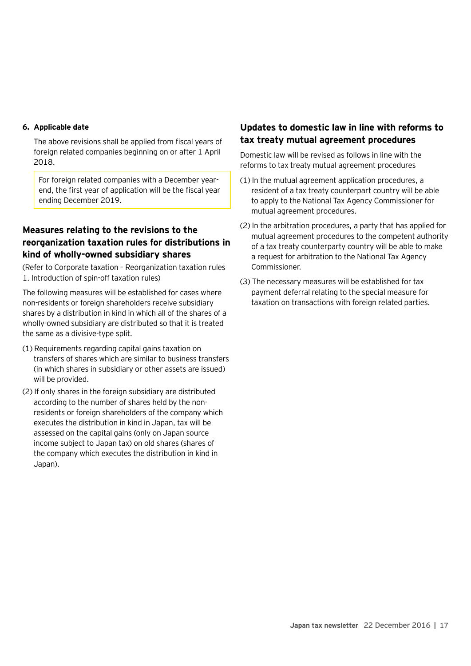#### **6. Applicable date**

The above revisions shall be applied from fiscal years of foreign related companies beginning on or after 1 April 2018.

For foreign related companies with a December yearend, the first year of application will be the fiscal year ending December 2019.

## **Measures relating to the revisions to the reorganization taxation rules for distributions in kind of wholly-owned subsidiary shares**

(Refer to Corporate taxation – Reorganization taxation rules 1. Introduction of spin-off taxation rules)

The following measures will be established for cases where non-residents or foreign shareholders receive subsidiary shares by a distribution in kind in which all of the shares of a wholly-owned subsidiary are distributed so that it is treated the same as a divisive-type split.

- (1) Requirements regarding capital gains taxation on transfers of shares which are similar to business transfers (in which shares in subsidiary or other assets are issued) will be provided.
- (2) If only shares in the foreign subsidiary are distributed according to the number of shares held by the nonresidents or foreign shareholders of the company which executes the distribution in kind in Japan, tax will be assessed on the capital gains (only on Japan source income subject to Japan tax) on old shares (shares of the company which executes the distribution in kind in Japan).

## **Updates to domestic law in line with reforms to tax treaty mutual agreement procedures**

Domestic law will be revised as follows in line with the reforms to tax treaty mutual agreement procedures

- (1) In the mutual agreement application procedures, a resident of a tax treaty counterpart country will be able to apply to the National Tax Agency Commissioner for mutual agreement procedures.
- (2) In the arbitration procedures, a party that has applied for mutual agreement procedures to the competent authority of a tax treaty counterparty country will be able to make a request for arbitration to the National Tax Agency Commissioner.
- (3) The necessary measures will be established for tax payment deferral relating to the special measure for taxation on transactions with foreign related parties.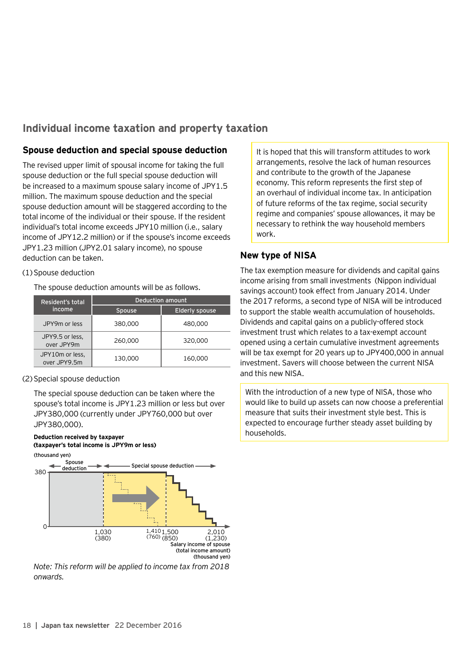## **Individual income taxation and property taxation**

## **Spouse deduction and special spouse deduction**

The revised upper limit of spousal income for taking the full spouse deduction or the full special spouse deduction will be increased to a maximum spouse salary income of JPY1.5 million. The maximum spouse deduction and the special spouse deduction amount will be staggered according to the total income of the individual or their spouse. If the resident individual's total income exceeds JPY10 million (i.e., salary income of JPY12.2 million) or if the spouse's income exceeds JPY1.23 million (JPY2.01 salary income), no spouse deduction can be taken.

#### (1)Spouse deduction

The spouse deduction amounts will be as follows.

| Resident's total                | <b>Deduction amount</b> |                       |  |  |
|---------------------------------|-------------------------|-----------------------|--|--|
| income                          | <b>Spouse</b>           | <b>Elderly spouse</b> |  |  |
| JPY9m or less                   | 380,000                 | 480,000               |  |  |
| JPY9.5 or less,<br>over JPY9m   | 260,000                 | 320,000               |  |  |
| JPY10m or less,<br>over JPY9.5m | 130,000                 | 160,000               |  |  |

#### (2)Special spouse deduction

The special spouse deduction can be taken where the spouse's total income is JPY1.23 million or less but over JPY380,000 (currently under JPY760,000 but over JPY380,000).

#### **Deduction received by taxpayer (taxpayer's total income is JPY9m or less)**



*Note: This reform will be applied to income tax from 2018 onwards.*

It is hoped that this will transform attitudes to work arrangements, resolve the lack of human resources and contribute to the growth of the Japanese economy. This reform represents the first step of an overhaul of individual income tax. In anticipation of future reforms of the tax regime, social security regime and companies' spouse allowances, it may be necessary to rethink the way household members work.

## **New type of NISA**

The tax exemption measure for dividends and capital gains income arising from small investments (Nippon individual savings account) took effect from January 2014. Under the 2017 reforms, a second type of NISA will be introduced to support the stable wealth accumulation of households. Dividends and capital gains on a publicly-offered stock investment trust which relates to a tax-exempt account opened using a certain cumulative investment agreements will be tax exempt for 20 years up to JPY400,000 in annual investment. Savers will choose between the current NISA and this new NISA.

With the introduction of a new type of NISA, those who would like to build up assets can now choose a preferential measure that suits their investment style best. This is expected to encourage further steady asset building by households.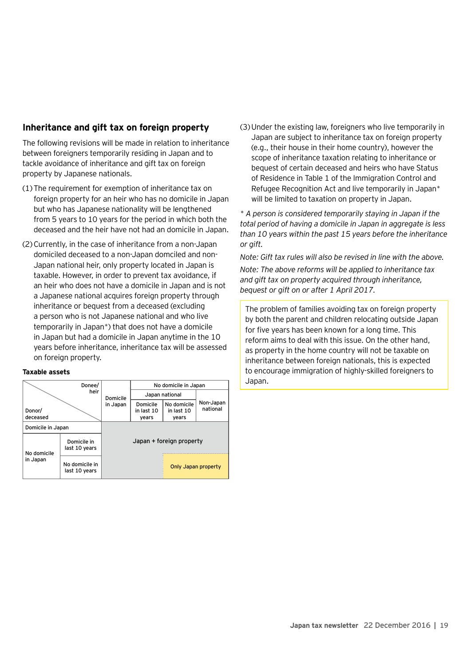## **Inheritance and gift tax on foreign property**

The following revisions will be made in relation to inheritance between foreigners temporarily residing in Japan and to tackle avoidance of inheritance and gift tax on foreign property by Japanese nationals.

- (1)The requirement for exemption of inheritance tax on foreign property for an heir who has no domicile in Japan but who has Japanese nationality will be lengthened from 5 years to 10 years for the period in which both the deceased and the heir have not had an domicile in Japan.
- (2)Currently, in the case of inheritance from a non-Japan domiciled deceased to a non-Japan domciled and non-Japan national heir, only property located in Japan is taxable. However, in order to prevent tax avoidance, if an heir who does not have a domicile in Japan and is not a Japanese national acquires foreign property through inheritance or bequest from a deceased (excluding a person who is not Japanese national and who live temporarily in Japan\*) that does not have a domicile in Japan but had a domicile in Japan anytime in the 10 years before inheritance, inheritance tax will be assessed on foreign property.

#### **Taxable assets**

|                    | Donee/                          |                          | No domicile in Japan            |                                    |                       |
|--------------------|---------------------------------|--------------------------|---------------------------------|------------------------------------|-----------------------|
| heir               |                                 | Domicile                 | Japan national                  |                                    |                       |
| Donor/<br>deceased |                                 | in Japan                 | Domicile<br>in last 10<br>years | No domicile<br>in last 10<br>years | Non-Japan<br>national |
| Domicile in Japan  |                                 |                          |                                 |                                    |                       |
| No domicile        | Domicile in<br>last 10 years    | Japan + foreign property |                                 |                                    |                       |
| in Japan           | No domicile in<br>last 10 years |                          |                                 | Only Japan property                |                       |

(3)Under the existing law, foreigners who live temporarily in Japan are subject to inheritance tax on foreign property (e.g., their house in their home country), however the scope of inheritance taxation relating to inheritance or bequest of certain deceased and heirs who have Status of Residence in Table 1 of the Immigration Control and Refugee Recognition Act and live temporarily in Japan\* will be limited to taxation on property in Japan.

*\* A person is considered temporarily staying in Japan if the total period of having a domicile in Japan in aggregate is less than 10 years within the past 15 years before the inheritance or gift.*

*Note: Gift tax rules will also be revised in line with the above. Note: The above reforms will be applied to inheritance tax and gift tax on property acquired through inheritance, bequest or gift on or after 1 April 2017.*

The problem of families avoiding tax on foreign property by both the parent and children relocating outside Japan for five years has been known for a long time. This reform aims to deal with this issue. On the other hand, as property in the home country will not be taxable on inheritance between foreign nationals, this is expected to encourage immigration of highly-skilled foreigners to Japan.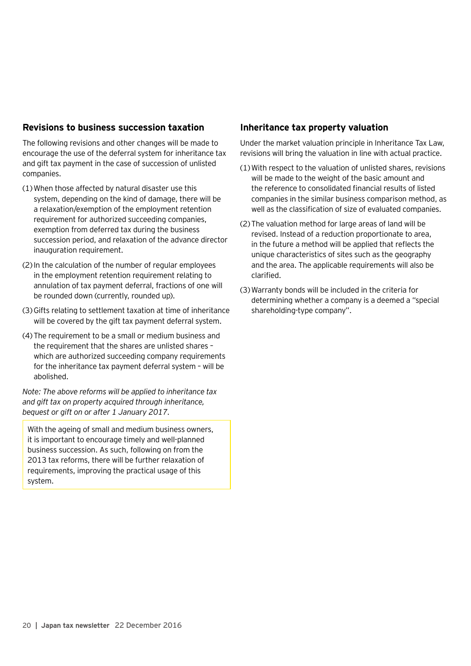## **Revisions to business succession taxation**

The following revisions and other changes will be made to encourage the use of the deferral system for inheritance tax and gift tax payment in the case of succession of unlisted companies.

- (1)When those affected by natural disaster use this system, depending on the kind of damage, there will be a relaxation/exemption of the employment retention requirement for authorized succeeding companies, exemption from deferred tax during the business succession period, and relaxation of the advance director inauguration requirement.
- (2)In the calculation of the number of regular employees in the employment retention requirement relating to annulation of tax payment deferral, fractions of one will be rounded down (currently, rounded up).
- (3)Gifts relating to settlement taxation at time of inheritance will be covered by the gift tax payment deferral system.
- (4)The requirement to be a small or medium business and the requirement that the shares are unlisted shares – which are authorized succeeding company requirements for the inheritance tax payment deferral system – will be abolished.

*Note: The above reforms will be applied to inheritance tax and gift tax on property acquired through inheritance, bequest or gift on or after 1 January 2017.*

With the ageing of small and medium business owners, it is important to encourage timely and well-planned business succession. As such, following on from the 2013 tax reforms, there will be further relaxation of requirements, improving the practical usage of this system.

## **Inheritance tax property valuation**

Under the market valuation principle in Inheritance Tax Law, revisions will bring the valuation in line with actual practice.

- (1)With respect to the valuation of unlisted shares, revisions will be made to the weight of the basic amount and the reference to consolidated financial results of listed companies in the similar business comparison method, as well as the classification of size of evaluated companies.
- (2)The valuation method for large areas of land will be revised. Instead of a reduction proportionate to area, in the future a method will be applied that reflects the unique characteristics of sites such as the geography and the area. The applicable requirements will also be clarified.
- (3)Warranty bonds will be included in the criteria for determining whether a company is a deemed a "special shareholding-type company".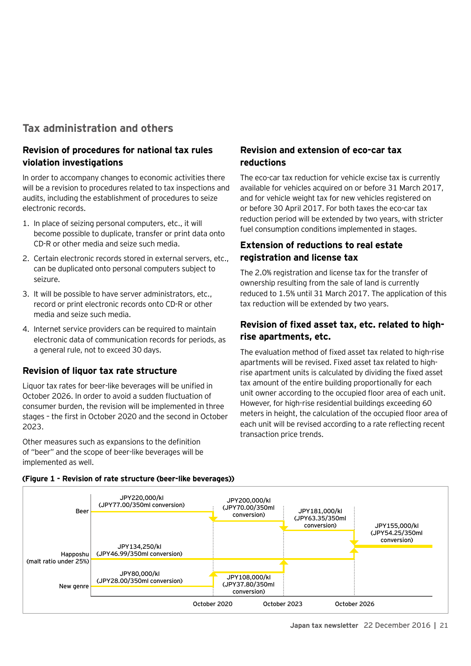## **Tax administration and others**

## **Revision of procedures for national tax rules violation investigations**

In order to accompany changes to economic activities there will be a revision to procedures related to tax inspections and audits, including the establishment of procedures to seize electronic records.

- 1. In place of seizing personal computers, etc., it will become possible to duplicate, transfer or print data onto CD-R or other media and seize such media.
- 2. Certain electronic records stored in external servers, etc., can be duplicated onto personal computers subject to seizure.
- 3. It will be possible to have server administrators, etc., record or print electronic records onto CD-R or other media and seize such media.
- 4. Internet service providers can be required to maintain electronic data of communication records for periods, as a general rule, not to exceed 30 days.

## **Revision of liquor tax rate structure**

Liquor tax rates for beer-like beverages will be unified in October 2026. In order to avoid a sudden fluctuation of consumer burden, the revision will be implemented in three stages – the first in October 2020 and the second in October 2023.

Other measures such as expansions to the definition of "beer" and the scope of beer-like beverages will be implemented as well.

## **Revision and extension of eco-car tax reductions**

The eco-car tax reduction for vehicle excise tax is currently available for vehicles acquired on or before 31 March 2017, and for vehicle weight tax for new vehicles registered on or before 30 April 2017. For both taxes the eco-car tax reduction period will be extended by two years, with stricter fuel consumption conditions implemented in stages.

## **Extension of reductions to real estate registration and license tax**

The 2.0% registration and license tax for the transfer of ownership resulting from the sale of land is currently reduced to 1.5% until 31 March 2017. The application of this tax reduction will be extended by two years.

## **Revision of fixed asset tax, etc. related to highrise apartments, etc.**

The evaluation method of fixed asset tax related to high-rise apartments will be revised. Fixed asset tax related to highrise apartment units is calculated by dividing the fixed asset tax amount of the entire building proportionally for each unit owner according to the occupied floor area of each unit. However, for high-rise residential buildings exceeding 60 meters in height, the calculation of the occupied floor area of each unit will be revised according to a rate reflecting recent transaction price trends.



#### **(Figure 1 - Revision of rate structure (beer-like beverages))**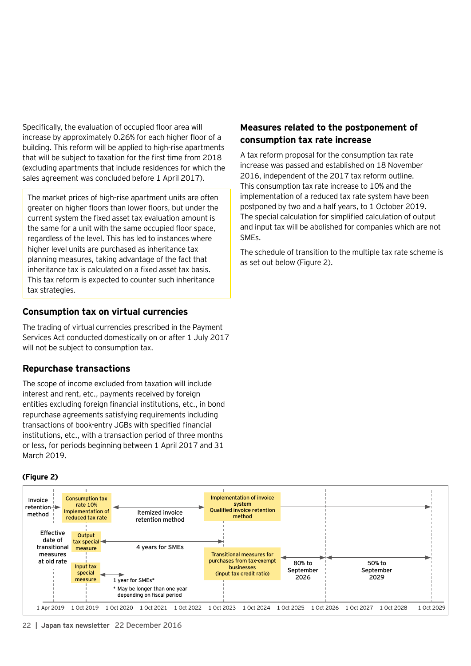Specifically, the evaluation of occupied floor area will increase by approximately 0.26% for each higher floor of a building. This reform will be applied to high-rise apartments that will be subject to taxation for the first time from 2018 (excluding apartments that include residences for which the sales agreement was concluded before 1 April 2017).

The market prices of high-rise apartment units are often greater on higher floors than lower floors, but under the current system the fixed asset tax evaluation amount is the same for a unit with the same occupied floor space, regardless of the level. This has led to instances where higher level units are purchased as inheritance tax planning measures, taking advantage of the fact that inheritance tax is calculated on a fixed asset tax basis. This tax reform is expected to counter such inheritance tax strategies.

## **Consumption tax on virtual currencies**

The trading of virtual currencies prescribed in the Payment Services Act conducted domestically on or after 1 July 2017 will not be subject to consumption tax.

## **Repurchase transactions**

The scope of income excluded from taxation will include interest and rent, etc., payments received by foreign entities excluding foreign financial institutions, etc., in bond repurchase agreements satisfying requirements including transactions of book-entry JGBs with specified financial institutions, etc., with a transaction period of three months or less, for periods beginning between 1 April 2017 and 31 March 2019.

#### **(Figure 2)**

## **Measures related to the postponement of consumption tax rate increase**

A tax reform proposal for the consumption tax rate increase was passed and established on 18 November 2016, independent of the 2017 tax reform outline. This consumption tax rate increase to 10% and the implementation of a reduced tax rate system have been postponed by two and a half years, to 1 October 2019. The special calculation for simplified calculation of output and input tax will be abolished for companies which are not SMEs.

The schedule of transition to the multiple tax rate scheme is as set out below (Figure 2).